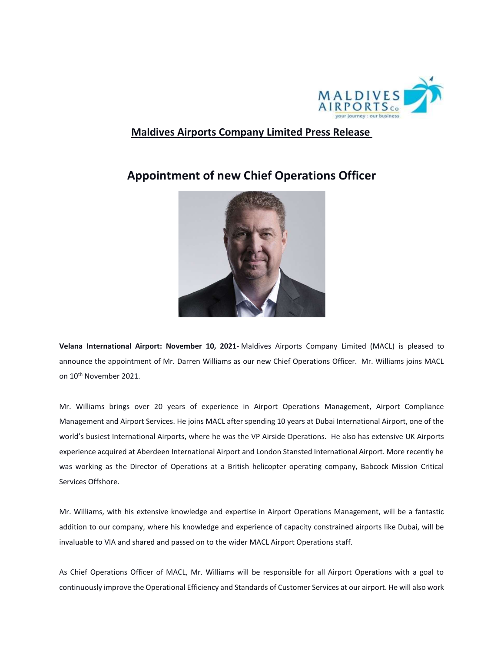

## Maldives Airports Company Limited Press Release

## Appointment of new Chief Operations Officer



Velana International Airport: November 10, 2021- Maldives Airports Company Limited (MACL) is pleased to announce the appointment of Mr. Darren Williams as our new Chief Operations Officer. Mr. Williams joins MACL on 10<sup>th</sup> November 2021.

Mr. Williams brings over 20 years of experience in Airport Operations Management, Airport Compliance Management and Airport Services. He joins MACL after spending 10 years at Dubai International Airport, one of the world's busiest International Airports, where he was the VP Airside Operations. He also has extensive UK Airports experience acquired at Aberdeen International Airport and London Stansted International Airport. More recently he was working as the Director of Operations at a British helicopter operating company, Babcock Mission Critical Services Offshore.

Mr. Williams, with his extensive knowledge and expertise in Airport Operations Management, will be a fantastic addition to our company, where his knowledge and experience of capacity constrained airports like Dubai, will be invaluable to VIA and shared and passed on to the wider MACL Airport Operations staff.

As Chief Operations Officer of MACL, Mr. Williams will be responsible for all Airport Operations with a goal to continuously improve the Operational Efficiency and Standards of Customer Services at our airport. He will also work